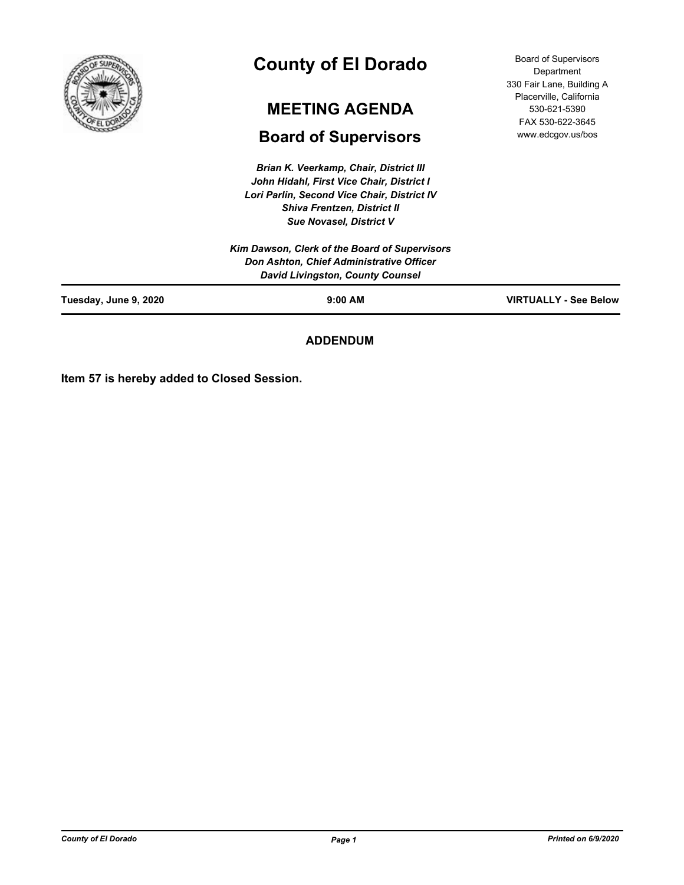

# **County of El Dorado**

# **MEETING AGENDA**

# **Board of Supervisors**

*Brian K. Veerkamp, Chair, District III John Hidahl, First Vice Chair, District I Lori Parlin, Second Vice Chair, District IV Shiva Frentzen, District II Sue Novasel, District V*

Board of Supervisors Department 330 Fair Lane, Building A Placerville, California 530-621-5390 FAX 530-622-3645 www.edcgov.us/bos

| Tuesday, June 9, 2020 | $9:00$ AM                                                                           | <b>VIRTUALLY - See Below</b> |
|-----------------------|-------------------------------------------------------------------------------------|------------------------------|
|                       | Don Ashton, Chief Administrative Officer<br><b>David Livingston, County Counsel</b> |                              |
|                       | Kim Dawson, Clerk of the Board of Supervisors                                       |                              |

**ADDENDUM**

**Item 57 is hereby added to Closed Session.**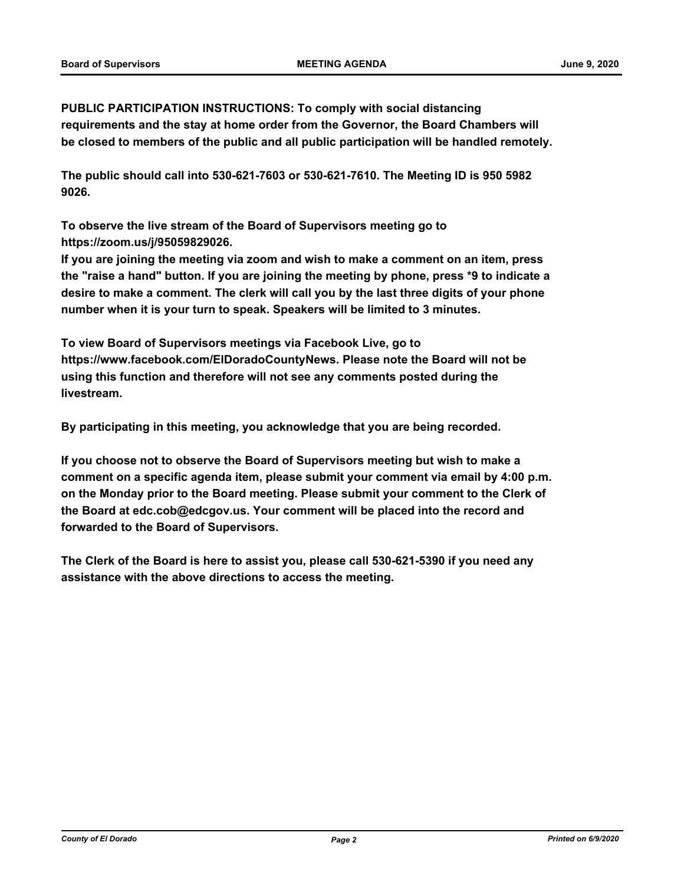**PUBLIC PARTICIPATION INSTRUCTIONS: To comply with social distancing requirements and the stay at home order from the Governor, the Board Chambers will be closed to members of the public and all public participation will be handled remotely.** 

**The public should call into 530-621-7603 or 530-621-7610. The Meeting ID is 950 5982 9026.** 

**To observe the live stream of the Board of Supervisors meeting go to https://zoom.us/j/95059829026.** 

**If you are joining the meeting via zoom and wish to make a comment on an item, press the "raise a hand" button. If you are joining the meeting by phone, press \*9 to indicate a desire to make a comment. The clerk will call you by the last three digits of your phone number when it is your turn to speak. Speakers will be limited to 3 minutes.** 

**To view Board of Supervisors meetings via Facebook Live, go to https://www.facebook.com/ElDoradoCountyNews. Please note the Board will not be using this function and therefore will not see any comments posted during the livestream.** 

**By participating in this meeting, you acknowledge that you are being recorded.**

**If you choose not to observe the Board of Supervisors meeting but wish to make a comment on a specific agenda item, please submit your comment via email by 4:00 p.m. on the Monday prior to the Board meeting. Please submit your comment to the Clerk of the Board at edc.cob@edcgov.us. Your comment will be placed into the record and forwarded to the Board of Supervisors.** 

**The Clerk of the Board is here to assist you, please call 530-621-5390 if you need any assistance with the above directions to access the meeting.**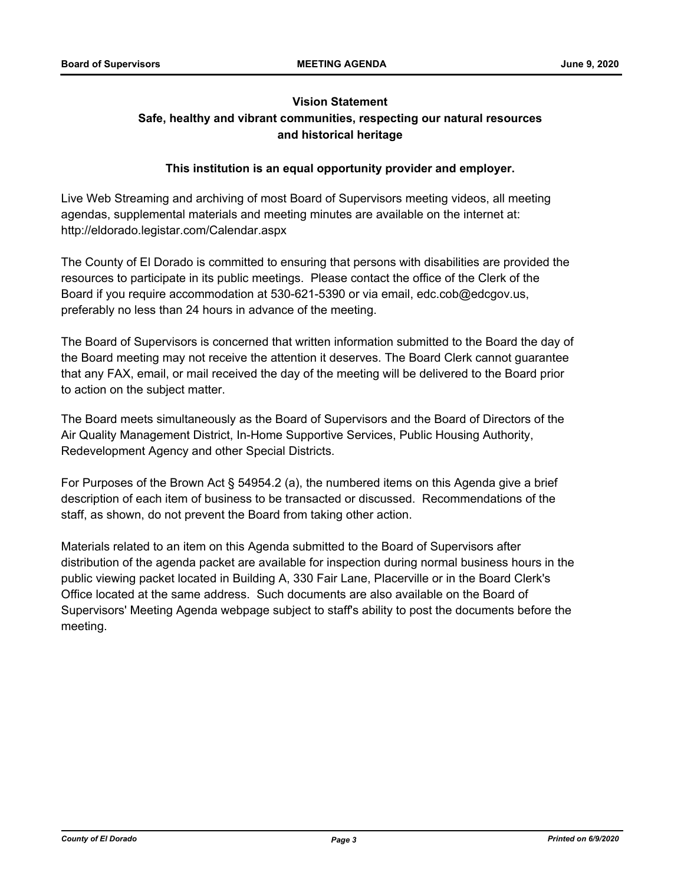# **Vision Statement Safe, healthy and vibrant communities, respecting our natural resources and historical heritage**

# **This institution is an equal opportunity provider and employer.**

Live Web Streaming and archiving of most Board of Supervisors meeting videos, all meeting agendas, supplemental materials and meeting minutes are available on the internet at: http://eldorado.legistar.com/Calendar.aspx

The County of El Dorado is committed to ensuring that persons with disabilities are provided the resources to participate in its public meetings. Please contact the office of the Clerk of the Board if you require accommodation at 530-621-5390 or via email, edc.cob@edcgov.us, preferably no less than 24 hours in advance of the meeting.

The Board of Supervisors is concerned that written information submitted to the Board the day of the Board meeting may not receive the attention it deserves. The Board Clerk cannot guarantee that any FAX, email, or mail received the day of the meeting will be delivered to the Board prior to action on the subject matter.

The Board meets simultaneously as the Board of Supervisors and the Board of Directors of the Air Quality Management District, In-Home Supportive Services, Public Housing Authority, Redevelopment Agency and other Special Districts.

For Purposes of the Brown Act § 54954.2 (a), the numbered items on this Agenda give a brief description of each item of business to be transacted or discussed. Recommendations of the staff, as shown, do not prevent the Board from taking other action.

Materials related to an item on this Agenda submitted to the Board of Supervisors after distribution of the agenda packet are available for inspection during normal business hours in the public viewing packet located in Building A, 330 Fair Lane, Placerville or in the Board Clerk's Office located at the same address. Such documents are also available on the Board of Supervisors' Meeting Agenda webpage subject to staff's ability to post the documents before the meeting.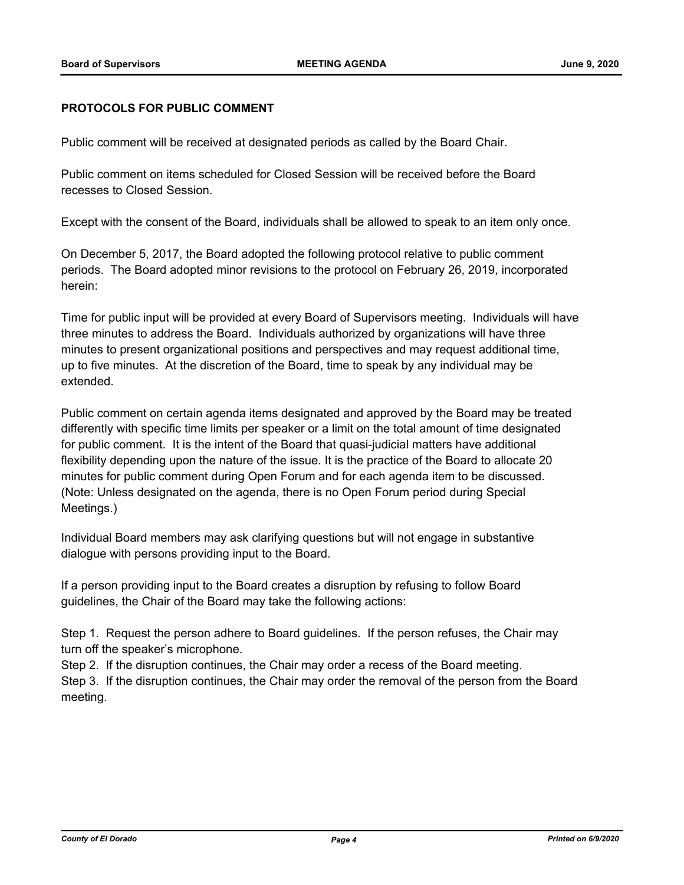#### **PROTOCOLS FOR PUBLIC COMMENT**

Public comment will be received at designated periods as called by the Board Chair.

Public comment on items scheduled for Closed Session will be received before the Board recesses to Closed Session.

Except with the consent of the Board, individuals shall be allowed to speak to an item only once.

On December 5, 2017, the Board adopted the following protocol relative to public comment periods. The Board adopted minor revisions to the protocol on February 26, 2019, incorporated herein:

Time for public input will be provided at every Board of Supervisors meeting. Individuals will have three minutes to address the Board. Individuals authorized by organizations will have three minutes to present organizational positions and perspectives and may request additional time, up to five minutes. At the discretion of the Board, time to speak by any individual may be extended.

Public comment on certain agenda items designated and approved by the Board may be treated differently with specific time limits per speaker or a limit on the total amount of time designated for public comment. It is the intent of the Board that quasi-judicial matters have additional flexibility depending upon the nature of the issue. It is the practice of the Board to allocate 20 minutes for public comment during Open Forum and for each agenda item to be discussed. (Note: Unless designated on the agenda, there is no Open Forum period during Special Meetings.)

Individual Board members may ask clarifying questions but will not engage in substantive dialogue with persons providing input to the Board.

If a person providing input to the Board creates a disruption by refusing to follow Board guidelines, the Chair of the Board may take the following actions:

Step 1. Request the person adhere to Board guidelines. If the person refuses, the Chair may turn off the speaker's microphone.

Step 2. If the disruption continues, the Chair may order a recess of the Board meeting.

Step 3. If the disruption continues, the Chair may order the removal of the person from the Board meeting.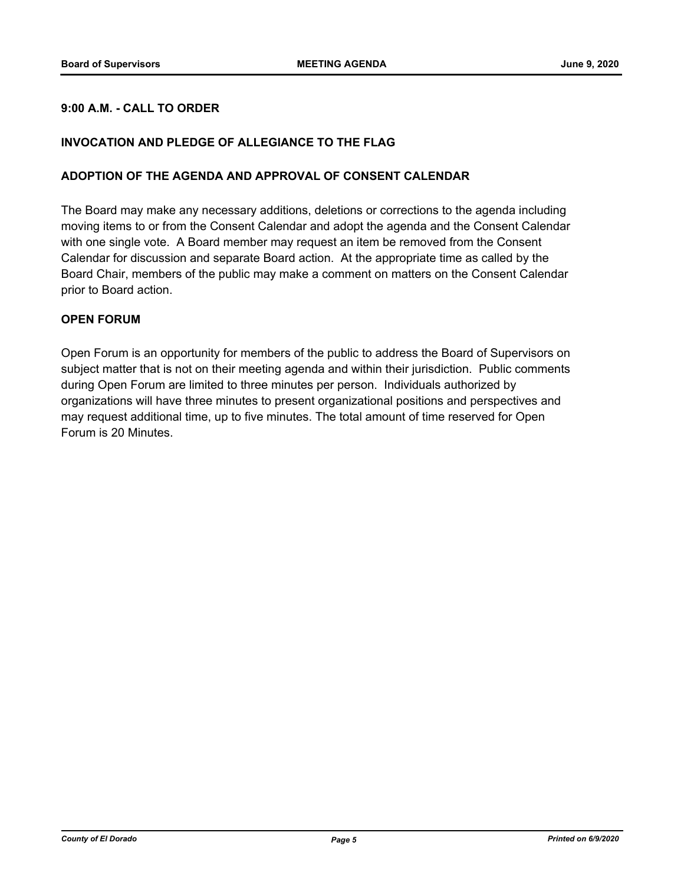# **9:00 A.M. - CALL TO ORDER**

# **INVOCATION AND PLEDGE OF ALLEGIANCE TO THE FLAG**

#### **ADOPTION OF THE AGENDA AND APPROVAL OF CONSENT CALENDAR**

The Board may make any necessary additions, deletions or corrections to the agenda including moving items to or from the Consent Calendar and adopt the agenda and the Consent Calendar with one single vote. A Board member may request an item be removed from the Consent Calendar for discussion and separate Board action. At the appropriate time as called by the Board Chair, members of the public may make a comment on matters on the Consent Calendar prior to Board action.

### **OPEN FORUM**

Open Forum is an opportunity for members of the public to address the Board of Supervisors on subject matter that is not on their meeting agenda and within their jurisdiction. Public comments during Open Forum are limited to three minutes per person. Individuals authorized by organizations will have three minutes to present organizational positions and perspectives and may request additional time, up to five minutes. The total amount of time reserved for Open Forum is 20 Minutes.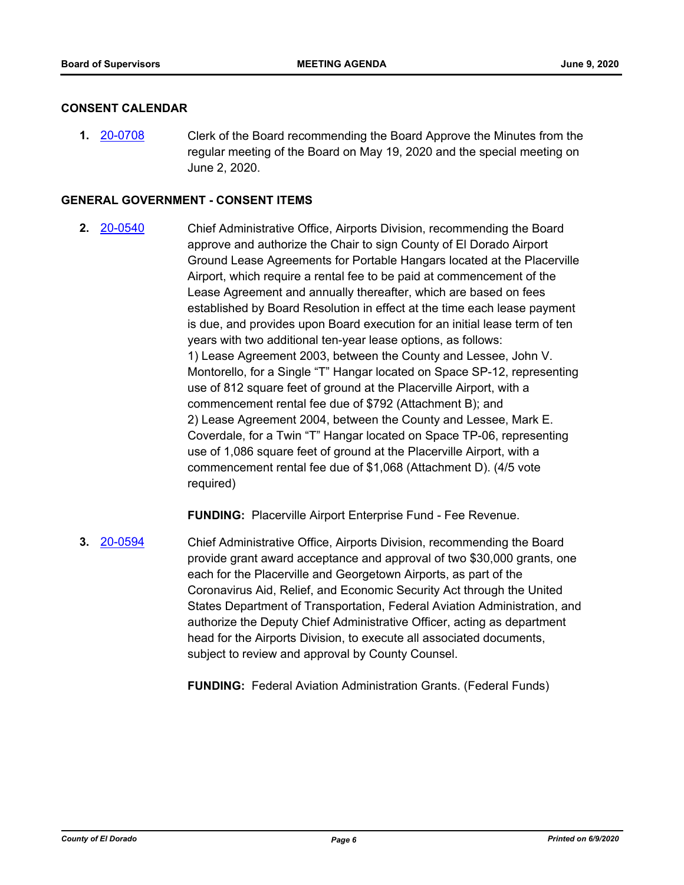### **CONSENT CALENDAR**

**1.** [20-0708](http://eldorado.legistar.com/gateway.aspx?m=l&id=/matter.aspx?key=27914) Clerk of the Board recommending the Board Approve the Minutes from the regular meeting of the Board on May 19, 2020 and the special meeting on June 2, 2020.

#### **GENERAL GOVERNMENT - CONSENT ITEMS**

**2.** [20-0540](http://eldorado.legistar.com/gateway.aspx?m=l&id=/matter.aspx?key=27746) Chief Administrative Office, Airports Division, recommending the Board approve and authorize the Chair to sign County of El Dorado Airport Ground Lease Agreements for Portable Hangars located at the Placerville Airport, which require a rental fee to be paid at commencement of the Lease Agreement and annually thereafter, which are based on fees established by Board Resolution in effect at the time each lease payment is due, and provides upon Board execution for an initial lease term of ten years with two additional ten-year lease options, as follows: 1) Lease Agreement 2003, between the County and Lessee, John V. Montorello, for a Single "T" Hangar located on Space SP-12, representing use of 812 square feet of ground at the Placerville Airport, with a commencement rental fee due of \$792 (Attachment B); and 2) Lease Agreement 2004, between the County and Lessee, Mark E. Coverdale, for a Twin "T" Hangar located on Space TP-06, representing use of 1,086 square feet of ground at the Placerville Airport, with a commencement rental fee due of \$1,068 (Attachment D). (4/5 vote required)

**FUNDING:** Placerville Airport Enterprise Fund - Fee Revenue.

**3.** [20-0594](http://eldorado.legistar.com/gateway.aspx?m=l&id=/matter.aspx?key=27800) Chief Administrative Office, Airports Division, recommending the Board provide grant award acceptance and approval of two \$30,000 grants, one each for the Placerville and Georgetown Airports, as part of the Coronavirus Aid, Relief, and Economic Security Act through the United States Department of Transportation, Federal Aviation Administration, and authorize the Deputy Chief Administrative Officer, acting as department head for the Airports Division, to execute all associated documents, subject to review and approval by County Counsel.

**FUNDING:** Federal Aviation Administration Grants. (Federal Funds)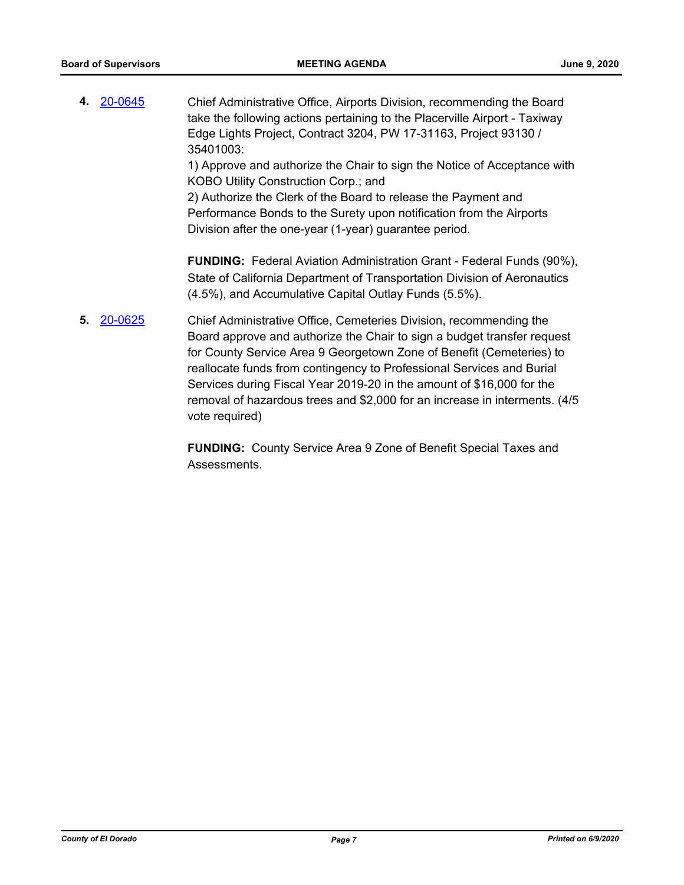**4.** [20-0645](http://eldorado.legistar.com/gateway.aspx?m=l&id=/matter.aspx?key=27851) Chief Administrative Office, Airports Division, recommending the Board take the following actions pertaining to the Placerville Airport - Taxiway Edge Lights Project, Contract 3204, PW 17-31163, Project 93130 / 35401003:

1) Approve and authorize the Chair to sign the Notice of Acceptance with KOBO Utility Construction Corp.; and

2) Authorize the Clerk of the Board to release the Payment and Performance Bonds to the Surety upon notification from the Airports Division after the one-year (1-year) guarantee period.

**FUNDING:** Federal Aviation Administration Grant - Federal Funds (90%), State of California Department of Transportation Division of Aeronautics (4.5%), and Accumulative Capital Outlay Funds (5.5%).

**5.** [20-0625](http://eldorado.legistar.com/gateway.aspx?m=l&id=/matter.aspx?key=27831) Chief Administrative Office, Cemeteries Division, recommending the Board approve and authorize the Chair to sign a budget transfer request for County Service Area 9 Georgetown Zone of Benefit (Cemeteries) to reallocate funds from contingency to Professional Services and Burial Services during Fiscal Year 2019-20 in the amount of \$16,000 for the removal of hazardous trees and \$2,000 for an increase in interments. (4/5 vote required)

> **FUNDING:** County Service Area 9 Zone of Benefit Special Taxes and **Assessments**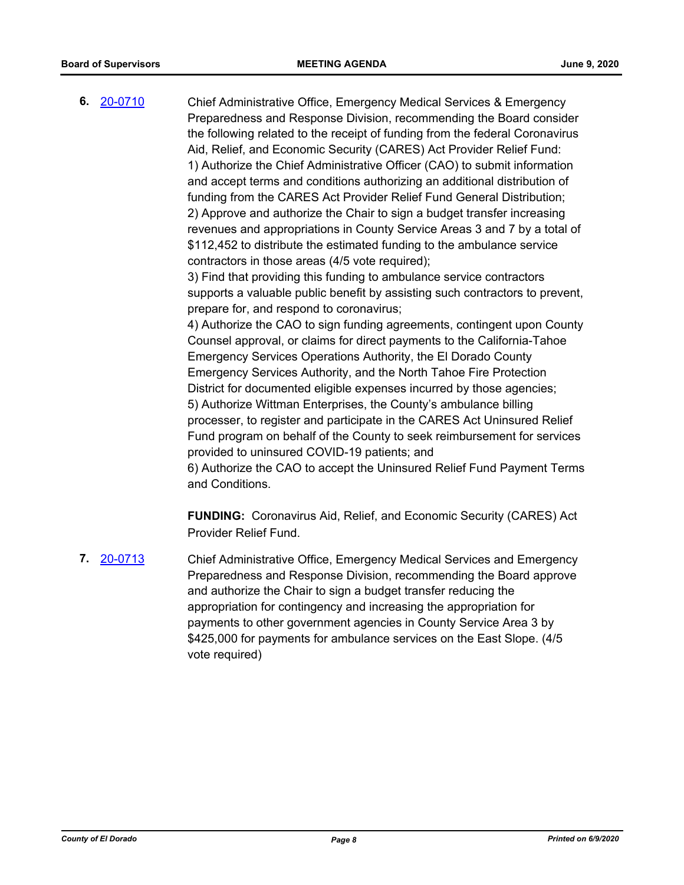**6.** [20-0710](http://eldorado.legistar.com/gateway.aspx?m=l&id=/matter.aspx?key=27916) Chief Administrative Office, Emergency Medical Services & Emergency Preparedness and Response Division, recommending the Board consider the following related to the receipt of funding from the federal Coronavirus Aid, Relief, and Economic Security (CARES) Act Provider Relief Fund: 1) Authorize the Chief Administrative Officer (CAO) to submit information and accept terms and conditions authorizing an additional distribution of funding from the CARES Act Provider Relief Fund General Distribution; 2) Approve and authorize the Chair to sign a budget transfer increasing revenues and appropriations in County Service Areas 3 and 7 by a total of \$112,452 to distribute the estimated funding to the ambulance service contractors in those areas (4/5 vote required);

3) Find that providing this funding to ambulance service contractors supports a valuable public benefit by assisting such contractors to prevent, prepare for, and respond to coronavirus;

4) Authorize the CAO to sign funding agreements, contingent upon County Counsel approval, or claims for direct payments to the California-Tahoe Emergency Services Operations Authority, the El Dorado County Emergency Services Authority, and the North Tahoe Fire Protection District for documented eligible expenses incurred by those agencies; 5) Authorize Wittman Enterprises, the County's ambulance billing processer, to register and participate in the CARES Act Uninsured Relief Fund program on behalf of the County to seek reimbursement for services provided to uninsured COVID-19 patients; and

6) Authorize the CAO to accept the Uninsured Relief Fund Payment Terms and Conditions.

**FUNDING:** Coronavirus Aid, Relief, and Economic Security (CARES) Act Provider Relief Fund.

**7.** [20-0713](http://eldorado.legistar.com/gateway.aspx?m=l&id=/matter.aspx?key=27919) Chief Administrative Office, Emergency Medical Services and Emergency Preparedness and Response Division, recommending the Board approve and authorize the Chair to sign a budget transfer reducing the appropriation for contingency and increasing the appropriation for payments to other government agencies in County Service Area 3 by \$425,000 for payments for ambulance services on the East Slope. (4/5 vote required)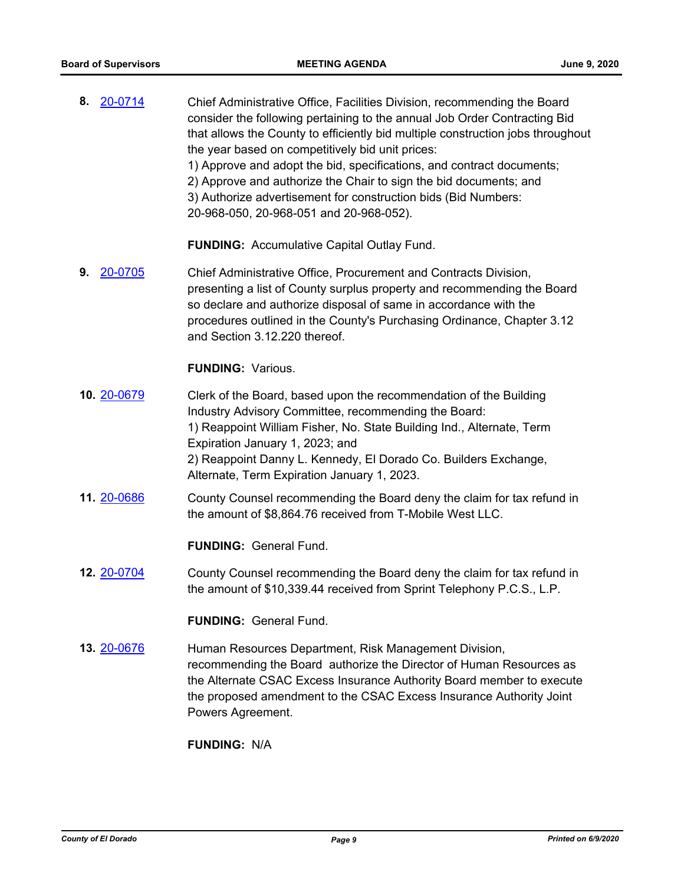**8.** [20-0714](http://eldorado.legistar.com/gateway.aspx?m=l&id=/matter.aspx?key=27920) Chief Administrative Office, Facilities Division, recommending the Board consider the following pertaining to the annual Job Order Contracting Bid that allows the County to efficiently bid multiple construction jobs throughout the year based on competitively bid unit prices: 1) Approve and adopt the bid, specifications, and contract documents; 2) Approve and authorize the Chair to sign the bid documents; and 3) Authorize advertisement for construction bids (Bid Numbers: 20-968-050, 20-968-051 and 20-968-052).

**FUNDING:** Accumulative Capital Outlay Fund.

**9.** [20-0705](http://eldorado.legistar.com/gateway.aspx?m=l&id=/matter.aspx?key=27911) Chief Administrative Office, Procurement and Contracts Division, presenting a list of County surplus property and recommending the Board so declare and authorize disposal of same in accordance with the procedures outlined in the County's Purchasing Ordinance, Chapter 3.12 and Section 3.12.220 thereof.

### **FUNDING:** Various.

- **10.** [20-0679](http://eldorado.legistar.com/gateway.aspx?m=l&id=/matter.aspx?key=27885) Clerk of the Board, based upon the recommendation of the Building Industry Advisory Committee, recommending the Board: 1) Reappoint William Fisher, No. State Building Ind., Alternate, Term Expiration January 1, 2023; and 2) Reappoint Danny L. Kennedy, El Dorado Co. Builders Exchange, Alternate, Term Expiration January 1, 2023.
- **11.** [20-0686](http://eldorado.legistar.com/gateway.aspx?m=l&id=/matter.aspx?key=27892) County Counsel recommending the Board deny the claim for tax refund in the amount of \$8,864.76 received from T-Mobile West LLC.

# **FUNDING:** General Fund.

**12.** [20-0704](http://eldorado.legistar.com/gateway.aspx?m=l&id=/matter.aspx?key=27910) County Counsel recommending the Board deny the claim for tax refund in the amount of \$10,339.44 received from Sprint Telephony P.C.S., L.P.

### **FUNDING:** General Fund.

**13. [20-0676](http://eldorado.legistar.com/gateway.aspx?m=l&id=/matter.aspx?key=27882)** Human Resources Department, Risk Management Division, recommending the Board authorize the Director of Human Resources as the Alternate CSAC Excess Insurance Authority Board member to execute the proposed amendment to the CSAC Excess Insurance Authority Joint Powers Agreement.

**FUNDING:** N/A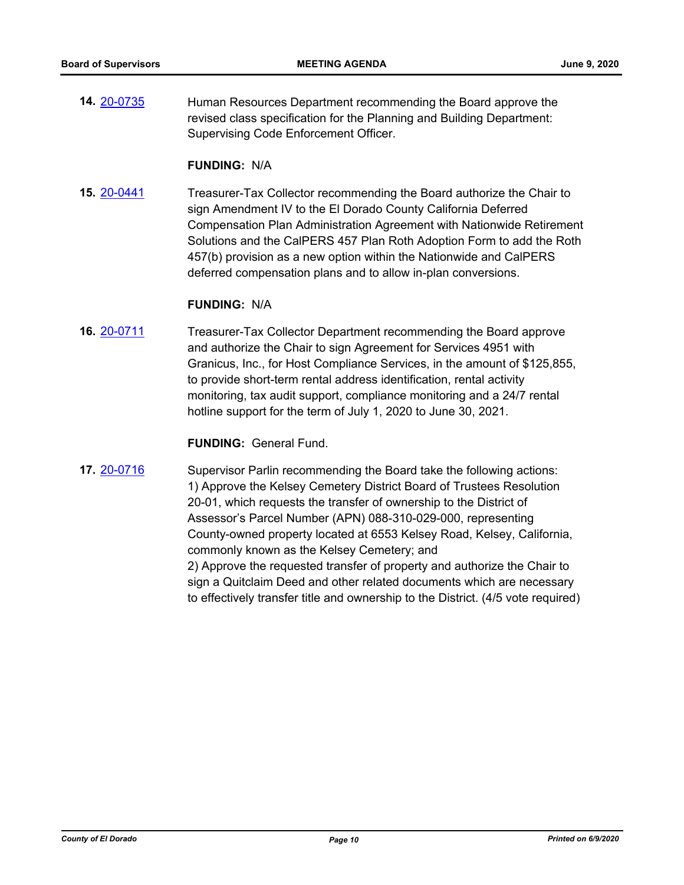**14.** [20-0735](http://eldorado.legistar.com/gateway.aspx?m=l&id=/matter.aspx?key=27942) Human Resources Department recommending the Board approve the revised class specification for the Planning and Building Department: Supervising Code Enforcement Officer.

#### **FUNDING:** N/A

**15.** [20-0441](http://eldorado.legistar.com/gateway.aspx?m=l&id=/matter.aspx?key=27647) Treasurer-Tax Collector recommending the Board authorize the Chair to sign Amendment IV to the El Dorado County California Deferred Compensation Plan Administration Agreement with Nationwide Retirement Solutions and the CalPERS 457 Plan Roth Adoption Form to add the Roth 457(b) provision as a new option within the Nationwide and CalPERS deferred compensation plans and to allow in-plan conversions.

#### **FUNDING:** N/A

**16.** [20-0711](http://eldorado.legistar.com/gateway.aspx?m=l&id=/matter.aspx?key=27917) Treasurer-Tax Collector Department recommending the Board approve and authorize the Chair to sign Agreement for Services 4951 with Granicus, Inc., for Host Compliance Services, in the amount of \$125,855, to provide short-term rental address identification, rental activity monitoring, tax audit support, compliance monitoring and a 24/7 rental hotline support for the term of July 1, 2020 to June 30, 2021.

# **FUNDING:** General Fund.

**17.** [20-0716](http://eldorado.legistar.com/gateway.aspx?m=l&id=/matter.aspx?key=27922) Supervisor Parlin recommending the Board take the following actions: 1) Approve the Kelsey Cemetery District Board of Trustees Resolution 20-01, which requests the transfer of ownership to the District of Assessor's Parcel Number (APN) 088-310-029-000, representing County-owned property located at 6553 Kelsey Road, Kelsey, California, commonly known as the Kelsey Cemetery; and 2) Approve the requested transfer of property and authorize the Chair to sign a Quitclaim Deed and other related documents which are necessary to effectively transfer title and ownership to the District. (4/5 vote required)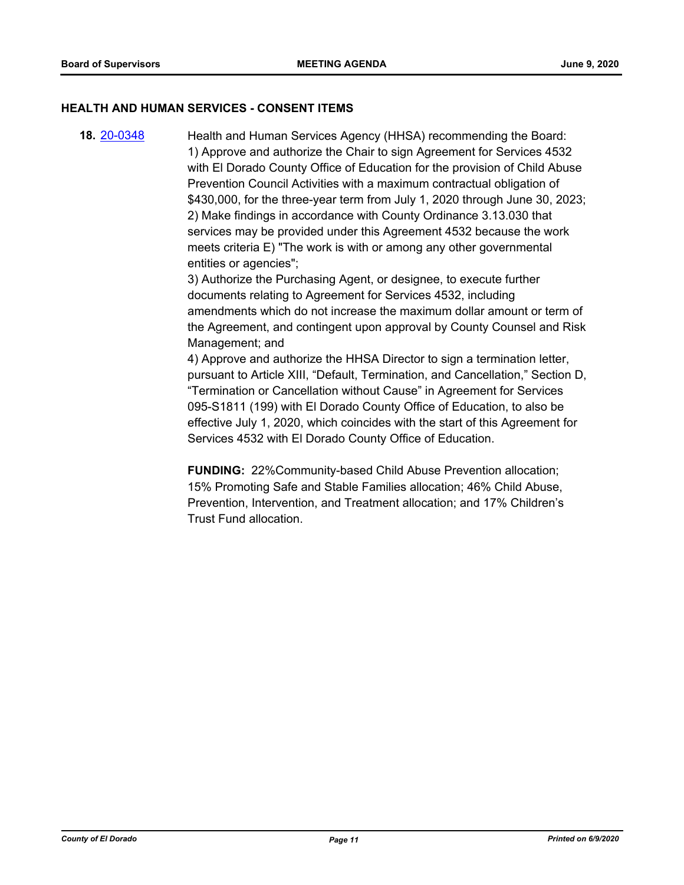#### **HEALTH AND HUMAN SERVICES - CONSENT ITEMS**

**18.** [20-0348](http://eldorado.legistar.com/gateway.aspx?m=l&id=/matter.aspx?key=27553) Health and Human Services Agency (HHSA) recommending the Board: 1) Approve and authorize the Chair to sign Agreement for Services 4532 with El Dorado County Office of Education for the provision of Child Abuse Prevention Council Activities with a maximum contractual obligation of \$430,000, for the three-year term from July 1, 2020 through June 30, 2023; 2) Make findings in accordance with County Ordinance 3.13.030 that services may be provided under this Agreement 4532 because the work meets criteria E) "The work is with or among any other governmental entities or agencies";

> 3) Authorize the Purchasing Agent, or designee, to execute further documents relating to Agreement for Services 4532, including amendments which do not increase the maximum dollar amount or term of the Agreement, and contingent upon approval by County Counsel and Risk Management; and

> 4) Approve and authorize the HHSA Director to sign a termination letter, pursuant to Article XIII, "Default, Termination, and Cancellation," Section D, "Termination or Cancellation without Cause" in Agreement for Services 095-S1811 (199) with El Dorado County Office of Education, to also be effective July 1, 2020, which coincides with the start of this Agreement for Services 4532 with El Dorado County Office of Education.

**FUNDING:** 22%Community-based Child Abuse Prevention allocation; 15% Promoting Safe and Stable Families allocation; 46% Child Abuse, Prevention, Intervention, and Treatment allocation; and 17% Children's Trust Fund allocation.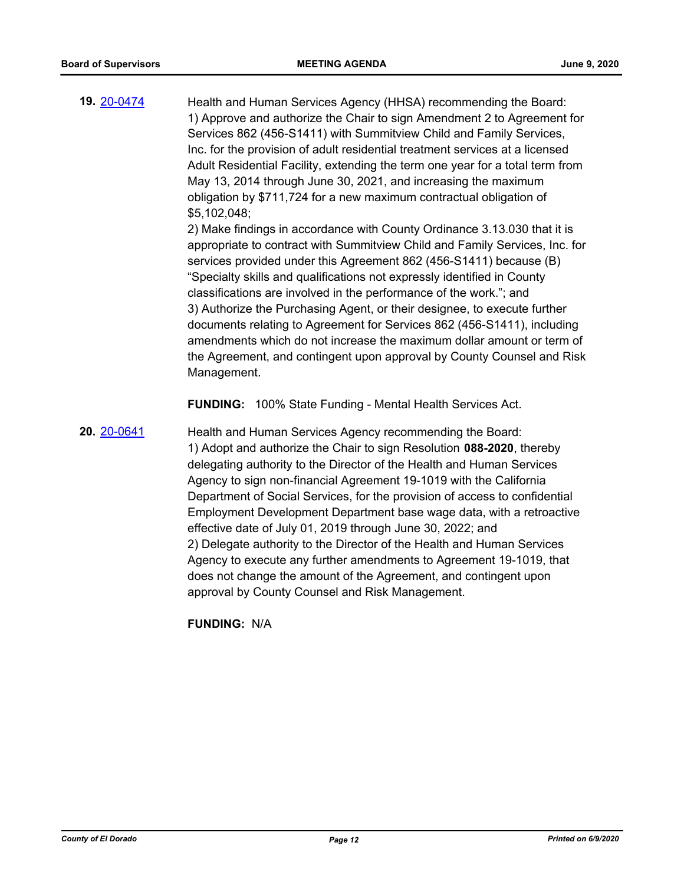**19.** [20-0474](http://eldorado.legistar.com/gateway.aspx?m=l&id=/matter.aspx?key=27680) Health and Human Services Agency (HHSA) recommending the Board: 1) Approve and authorize the Chair to sign Amendment 2 to Agreement for Services 862 (456-S1411) with Summitview Child and Family Services, Inc. for the provision of adult residential treatment services at a licensed Adult Residential Facility, extending the term one year for a total term from May 13, 2014 through June 30, 2021, and increasing the maximum obligation by \$711,724 for a new maximum contractual obligation of \$5,102,048;

2) Make findings in accordance with County Ordinance 3.13.030 that it is appropriate to contract with Summitview Child and Family Services, Inc. for services provided under this Agreement 862 (456-S1411) because (B) "Specialty skills and qualifications not expressly identified in County classifications are involved in the performance of the work."; and 3) Authorize the Purchasing Agent, or their designee, to execute further documents relating to Agreement for Services 862 (456-S1411), including amendments which do not increase the maximum dollar amount or term of the Agreement, and contingent upon approval by County Counsel and Risk Management.

**FUNDING:** 100% State Funding - Mental Health Services Act.

**20.** [20-0641](http://eldorado.legistar.com/gateway.aspx?m=l&id=/matter.aspx?key=27847) Health and Human Services Agency recommending the Board: 1) Adopt and authorize the Chair to sign Resolution **088-2020**, thereby delegating authority to the Director of the Health and Human Services Agency to sign non-financial Agreement 19-1019 with the California Department of Social Services, for the provision of access to confidential Employment Development Department base wage data, with a retroactive effective date of July 01, 2019 through June 30, 2022; and 2) Delegate authority to the Director of the Health and Human Services Agency to execute any further amendments to Agreement 19-1019, that does not change the amount of the Agreement, and contingent upon approval by County Counsel and Risk Management.

**FUNDING:** N/A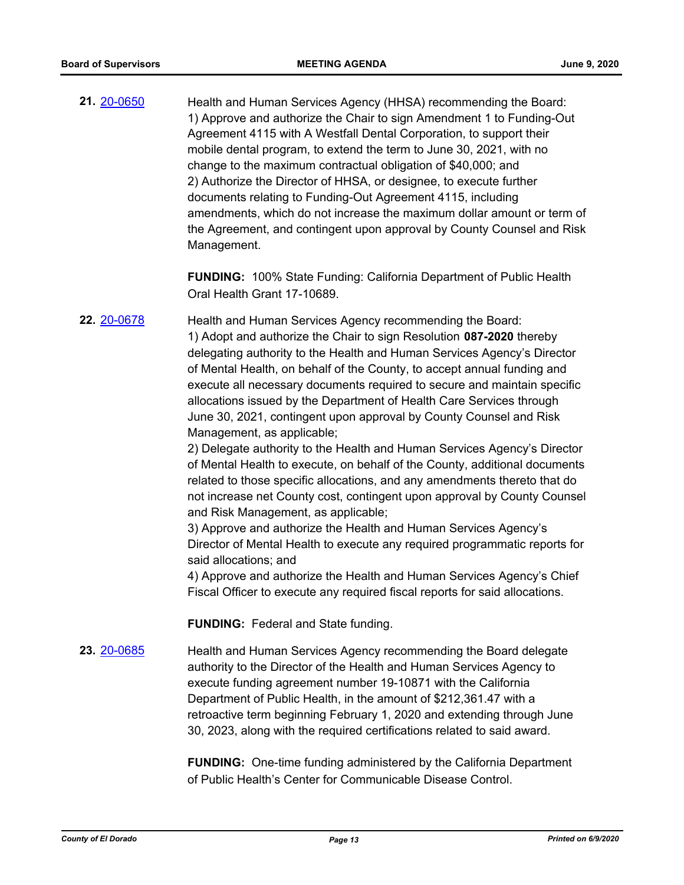**21.** [20-0650](http://eldorado.legistar.com/gateway.aspx?m=l&id=/matter.aspx?key=27856) Health and Human Services Agency (HHSA) recommending the Board: 1) Approve and authorize the Chair to sign Amendment 1 to Funding-Out Agreement 4115 with A Westfall Dental Corporation, to support their mobile dental program, to extend the term to June 30, 2021, with no change to the maximum contractual obligation of \$40,000; and 2) Authorize the Director of HHSA, or designee, to execute further documents relating to Funding-Out Agreement 4115, including amendments, which do not increase the maximum dollar amount or term of the Agreement, and contingent upon approval by County Counsel and Risk Management.

> **FUNDING:** 100% State Funding: California Department of Public Health Oral Health Grant 17-10689.

**22.** [20-0678](http://eldorado.legistar.com/gateway.aspx?m=l&id=/matter.aspx?key=27884) Health and Human Services Agency recommending the Board: 1) Adopt and authorize the Chair to sign Resolution **087-2020** thereby delegating authority to the Health and Human Services Agency's Director of Mental Health, on behalf of the County, to accept annual funding and execute all necessary documents required to secure and maintain specific allocations issued by the Department of Health Care Services through June 30, 2021, contingent upon approval by County Counsel and Risk Management, as applicable;

> 2) Delegate authority to the Health and Human Services Agency's Director of Mental Health to execute, on behalf of the County, additional documents related to those specific allocations, and any amendments thereto that do not increase net County cost, contingent upon approval by County Counsel and Risk Management, as applicable;

> 3) Approve and authorize the Health and Human Services Agency's Director of Mental Health to execute any required programmatic reports for said allocations; and

> 4) Approve and authorize the Health and Human Services Agency's Chief Fiscal Officer to execute any required fiscal reports for said allocations.

**FUNDING:** Federal and State funding.

**23.** [20-0685](http://eldorado.legistar.com/gateway.aspx?m=l&id=/matter.aspx?key=27891) Health and Human Services Agency recommending the Board delegate authority to the Director of the Health and Human Services Agency to execute funding agreement number 19-10871 with the California Department of Public Health, in the amount of \$212,361.47 with a retroactive term beginning February 1, 2020 and extending through June 30, 2023, along with the required certifications related to said award.

> **FUNDING:** One-time funding administered by the California Department of Public Health's Center for Communicable Disease Control.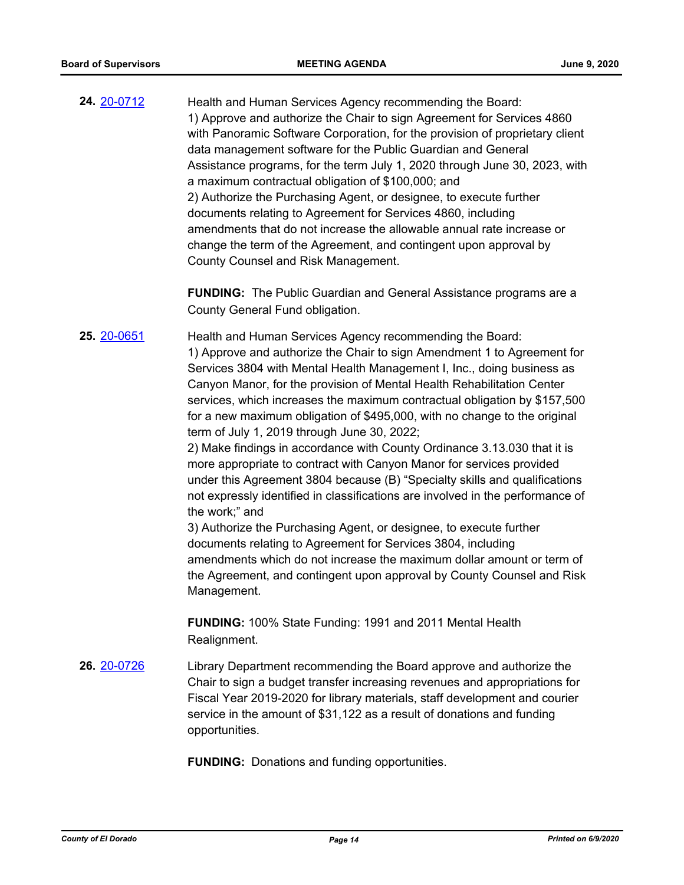**24.** [20-0712](http://eldorado.legistar.com/gateway.aspx?m=l&id=/matter.aspx?key=27918) Health and Human Services Agency recommending the Board: 1) Approve and authorize the Chair to sign Agreement for Services 4860 with Panoramic Software Corporation, for the provision of proprietary client data management software for the Public Guardian and General Assistance programs, for the term July 1, 2020 through June 30, 2023, with a maximum contractual obligation of \$100,000; and 2) Authorize the Purchasing Agent, or designee, to execute further documents relating to Agreement for Services 4860, including amendments that do not increase the allowable annual rate increase or change the term of the Agreement, and contingent upon approval by County Counsel and Risk Management.

> **FUNDING:** The Public Guardian and General Assistance programs are a County General Fund obligation.

**25.** [20-0651](http://eldorado.legistar.com/gateway.aspx?m=l&id=/matter.aspx?key=27857) Health and Human Services Agency recommending the Board: 1) Approve and authorize the Chair to sign Amendment 1 to Agreement for Services 3804 with Mental Health Management I, Inc., doing business as Canyon Manor, for the provision of Mental Health Rehabilitation Center services, which increases the maximum contractual obligation by \$157,500 for a new maximum obligation of \$495,000, with no change to the original term of July 1, 2019 through June 30, 2022;

> 2) Make findings in accordance with County Ordinance 3.13.030 that it is more appropriate to contract with Canyon Manor for services provided under this Agreement 3804 because (B) "Specialty skills and qualifications not expressly identified in classifications are involved in the performance of the work;" and

> 3) Authorize the Purchasing Agent, or designee, to execute further documents relating to Agreement for Services 3804, including amendments which do not increase the maximum dollar amount or term of the Agreement, and contingent upon approval by County Counsel and Risk Management.

**FUNDING:** 100% State Funding: 1991 and 2011 Mental Health Realignment.

**26.** [20-0726](http://eldorado.legistar.com/gateway.aspx?m=l&id=/matter.aspx?key=27933) Library Department recommending the Board approve and authorize the Chair to sign a budget transfer increasing revenues and appropriations for Fiscal Year 2019-2020 for library materials, staff development and courier service in the amount of \$31,122 as a result of donations and funding opportunities.

**FUNDING:** Donations and funding opportunities.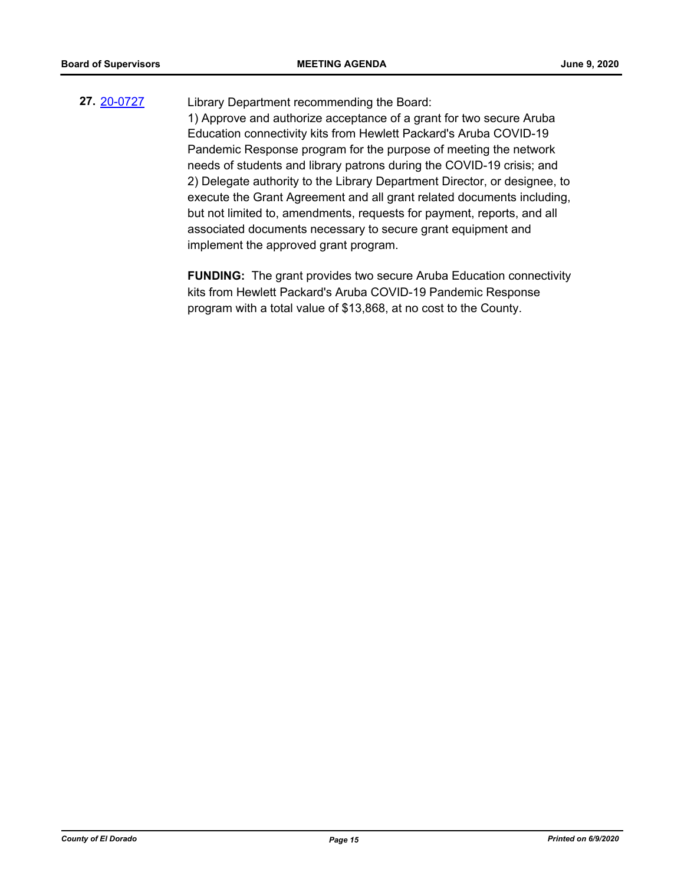# **27.** [20-0727](http://eldorado.legistar.com/gateway.aspx?m=l&id=/matter.aspx?key=27934) Library Department recommending the Board: 1) Approve and authorize acceptance of a grant for two secure Aruba Education connectivity kits from Hewlett Packard's Aruba COVID-19 Pandemic Response program for the purpose of meeting the network needs of students and library patrons during the COVID-19 crisis; and 2) Delegate authority to the Library Department Director, or designee, to

execute the Grant Agreement and all grant related documents including, but not limited to, amendments, requests for payment, reports, and all associated documents necessary to secure grant equipment and implement the approved grant program.

**FUNDING:** The grant provides two secure Aruba Education connectivity kits from Hewlett Packard's Aruba COVID-19 Pandemic Response program with a total value of \$13,868, at no cost to the County.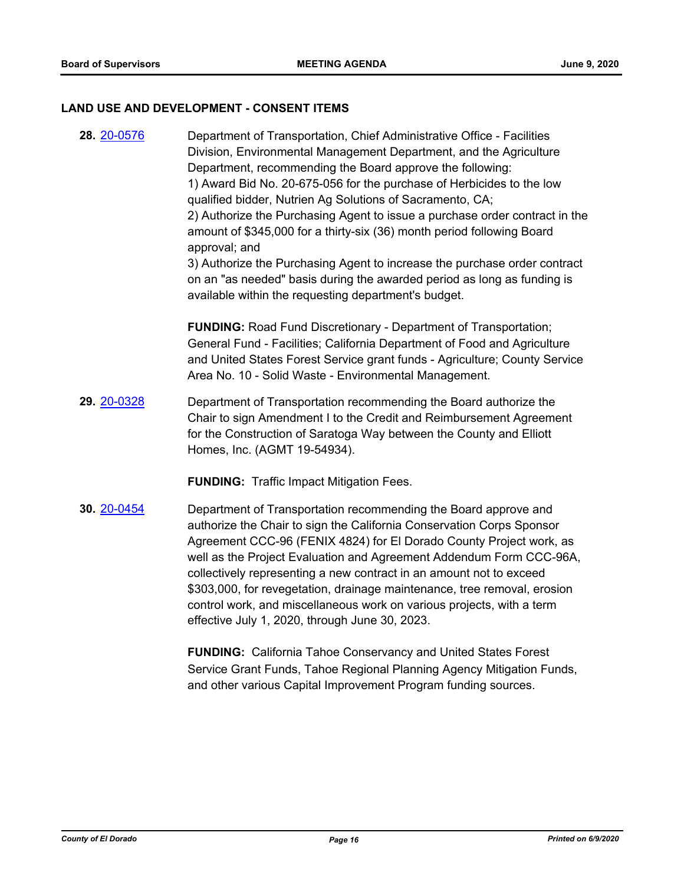#### **LAND USE AND DEVELOPMENT - CONSENT ITEMS**

**28.** [20-0576](http://eldorado.legistar.com/gateway.aspx?m=l&id=/matter.aspx?key=27782) Department of Transportation, Chief Administrative Office - Facilities Division, Environmental Management Department, and the Agriculture Department, recommending the Board approve the following: 1) Award Bid No. 20-675-056 for the purchase of Herbicides to the low qualified bidder, Nutrien Ag Solutions of Sacramento, CA; 2) Authorize the Purchasing Agent to issue a purchase order contract in the amount of \$345,000 for a thirty-six (36) month period following Board approval; and 3) Authorize the Purchasing Agent to increase the purchase order contract on an "as needed" basis during the awarded period as long as funding is available within the requesting department's budget.

**FUNDING:** Road Fund Discretionary - Department of Transportation; General Fund - Facilities; California Department of Food and Agriculture and United States Forest Service grant funds - Agriculture; County Service Area No. 10 - Solid Waste - Environmental Management.

**29.** [20-0328](http://eldorado.legistar.com/gateway.aspx?m=l&id=/matter.aspx?key=27533) Department of Transportation recommending the Board authorize the Chair to sign Amendment I to the Credit and Reimbursement Agreement for the Construction of Saratoga Way between the County and Elliott Homes, Inc. (AGMT 19-54934).

**FUNDING:** Traffic Impact Mitigation Fees.

**30.** [20-0454](http://eldorado.legistar.com/gateway.aspx?m=l&id=/matter.aspx?key=27660) Department of Transportation recommending the Board approve and authorize the Chair to sign the California Conservation Corps Sponsor Agreement CCC-96 (FENIX 4824) for El Dorado County Project work, as well as the Project Evaluation and Agreement Addendum Form CCC-96A, collectively representing a new contract in an amount not to exceed \$303,000, for revegetation, drainage maintenance, tree removal, erosion control work, and miscellaneous work on various projects, with a term effective July 1, 2020, through June 30, 2023.

> **FUNDING:** California Tahoe Conservancy and United States Forest Service Grant Funds, Tahoe Regional Planning Agency Mitigation Funds, and other various Capital Improvement Program funding sources.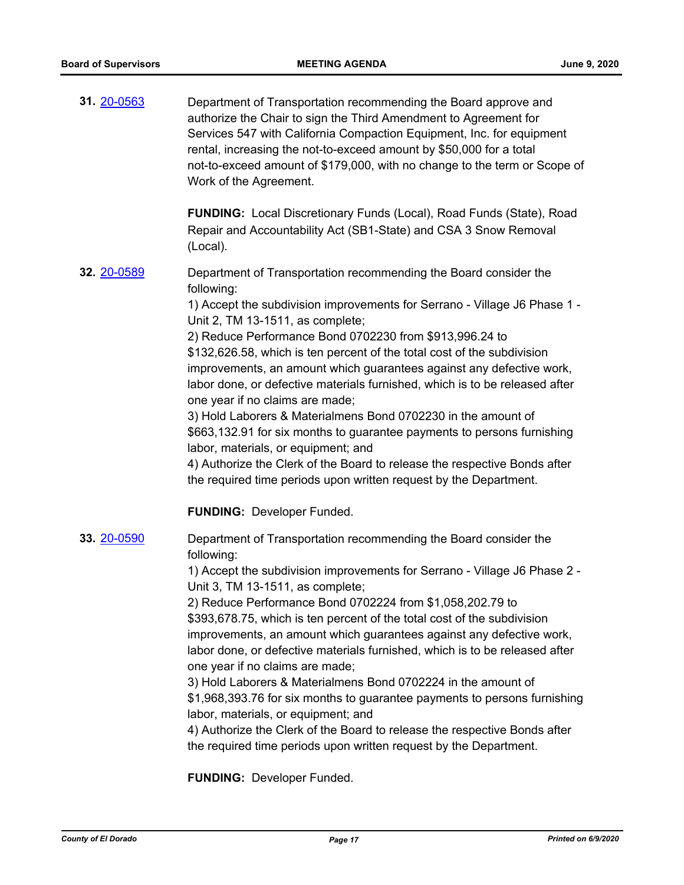| 31. 20-0563 | Department of Transportation recommending the Board approve and<br>authorize the Chair to sign the Third Amendment to Agreement for<br>Services 547 with California Compaction Equipment, Inc. for equipment<br>rental, increasing the not-to-exceed amount by \$50,000 for a total<br>not-to-exceed amount of \$179,000, with no change to the term or Scope of<br>Work of the Agreement. |
|-------------|--------------------------------------------------------------------------------------------------------------------------------------------------------------------------------------------------------------------------------------------------------------------------------------------------------------------------------------------------------------------------------------------|
|             | <b>FUNDING:</b> Local Discretionary Funds (Local), Road Funds (State), Road<br>Repair and Accountability Act (SB1-State) and CSA 3 Snow Removal<br>(Local).                                                                                                                                                                                                                                |
| 32. 20-0589 | Department of Transportation recommending the Board consider the<br>following:                                                                                                                                                                                                                                                                                                             |
|             | 1) Accept the subdivision improvements for Serrano - Village J6 Phase 1 -<br>Unit 2, TM 13-1511, as complete;                                                                                                                                                                                                                                                                              |
|             | 2) Reduce Performance Bond 0702230 from \$913,996.24 to                                                                                                                                                                                                                                                                                                                                    |
|             | \$132,626.58, which is ten percent of the total cost of the subdivision                                                                                                                                                                                                                                                                                                                    |
|             | improvements, an amount which guarantees against any defective work,<br>labor done, or defective materials furnished, which is to be released after<br>one year if no claims are made;                                                                                                                                                                                                     |
|             | 3) Hold Laborers & Materialmens Bond 0702230 in the amount of                                                                                                                                                                                                                                                                                                                              |
|             | \$663,132.91 for six months to guarantee payments to persons furnishing<br>labor, materials, or equipment; and                                                                                                                                                                                                                                                                             |
|             | 4) Authorize the Clerk of the Board to release the respective Bonds after<br>the required time periods upon written request by the Department.                                                                                                                                                                                                                                             |
|             | <b>FUNDING: Developer Funded.</b>                                                                                                                                                                                                                                                                                                                                                          |
| 33. 20-0590 | Department of Transportation recommending the Board consider the<br>following:                                                                                                                                                                                                                                                                                                             |
|             | 1) Accept the subdivision improvements for Serrano - Village J6 Phase 2 -<br>Unit 3, TM 13-1511, as complete;                                                                                                                                                                                                                                                                              |
|             | 2) Reduce Performance Bond 0702224 from \$1,058,202.79 to                                                                                                                                                                                                                                                                                                                                  |
|             | \$393,678.75, which is ten percent of the total cost of the subdivision                                                                                                                                                                                                                                                                                                                    |
|             | improvements, an amount which guarantees against any defective work,<br>labor done, or defective materials furnished, which is to be released after                                                                                                                                                                                                                                        |
|             | one year if no claims are made;<br>3) Hold Laborers & Materialmens Bond 0702224 in the amount of                                                                                                                                                                                                                                                                                           |
|             | \$1,968,393.76 for six months to guarantee payments to persons furnishing<br>labor, materials, or equipment; and                                                                                                                                                                                                                                                                           |
|             | 4) Authorize the Clerk of the Board to release the respective Bonds after                                                                                                                                                                                                                                                                                                                  |
|             | the required time periods upon written request by the Department.                                                                                                                                                                                                                                                                                                                          |
|             |                                                                                                                                                                                                                                                                                                                                                                                            |

**FUNDING:** Developer Funded.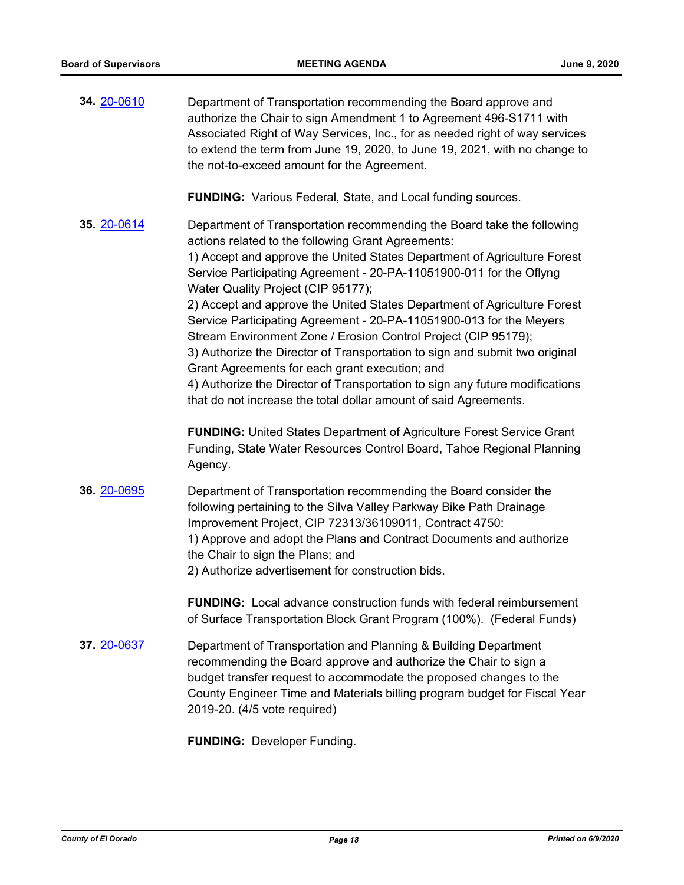| 34. 20-0610 | Department of Transportation recommending the Board approve and<br>authorize the Chair to sign Amendment 1 to Agreement 496-S1711 with<br>Associated Right of Way Services, Inc., for as needed right of way services<br>to extend the term from June 19, 2020, to June 19, 2021, with no change to<br>the not-to-exceed amount for the Agreement.                                                                                                                                                                                                                                                                                                                                                                                                                                                                              |
|-------------|---------------------------------------------------------------------------------------------------------------------------------------------------------------------------------------------------------------------------------------------------------------------------------------------------------------------------------------------------------------------------------------------------------------------------------------------------------------------------------------------------------------------------------------------------------------------------------------------------------------------------------------------------------------------------------------------------------------------------------------------------------------------------------------------------------------------------------|
|             | <b>FUNDING:</b> Various Federal, State, and Local funding sources.                                                                                                                                                                                                                                                                                                                                                                                                                                                                                                                                                                                                                                                                                                                                                              |
| 35. 20-0614 | Department of Transportation recommending the Board take the following<br>actions related to the following Grant Agreements:<br>1) Accept and approve the United States Department of Agriculture Forest<br>Service Participating Agreement - 20-PA-11051900-011 for the Oflyng<br>Water Quality Project (CIP 95177);<br>2) Accept and approve the United States Department of Agriculture Forest<br>Service Participating Agreement - 20-PA-11051900-013 for the Meyers<br>Stream Environment Zone / Erosion Control Project (CIP 95179);<br>3) Authorize the Director of Transportation to sign and submit two original<br>Grant Agreements for each grant execution; and<br>4) Authorize the Director of Transportation to sign any future modifications<br>that do not increase the total dollar amount of said Agreements. |
|             | <b>FUNDING:</b> United States Department of Agriculture Forest Service Grant<br>Funding, State Water Resources Control Board, Tahoe Regional Planning<br>Agency.                                                                                                                                                                                                                                                                                                                                                                                                                                                                                                                                                                                                                                                                |
| 36. 20-0695 | Department of Transportation recommending the Board consider the<br>following pertaining to the Silva Valley Parkway Bike Path Drainage<br>Improvement Project, CIP 72313/36109011, Contract 4750:<br>1) Approve and adopt the Plans and Contract Documents and authorize<br>the Chair to sign the Plans; and<br>2) Authorize advertisement for construction bids.                                                                                                                                                                                                                                                                                                                                                                                                                                                              |
|             | <b>FUNDING:</b> Local advance construction funds with federal reimbursement<br>of Surface Transportation Block Grant Program (100%). (Federal Funds)                                                                                                                                                                                                                                                                                                                                                                                                                                                                                                                                                                                                                                                                            |
| 37. 20-0637 | Department of Transportation and Planning & Building Department<br>recommending the Board approve and authorize the Chair to sign a<br>budget transfer request to accommodate the proposed changes to the<br>County Engineer Time and Materials billing program budget for Fiscal Year<br>2019-20. (4/5 vote required)                                                                                                                                                                                                                                                                                                                                                                                                                                                                                                          |

**FUNDING:** Developer Funding.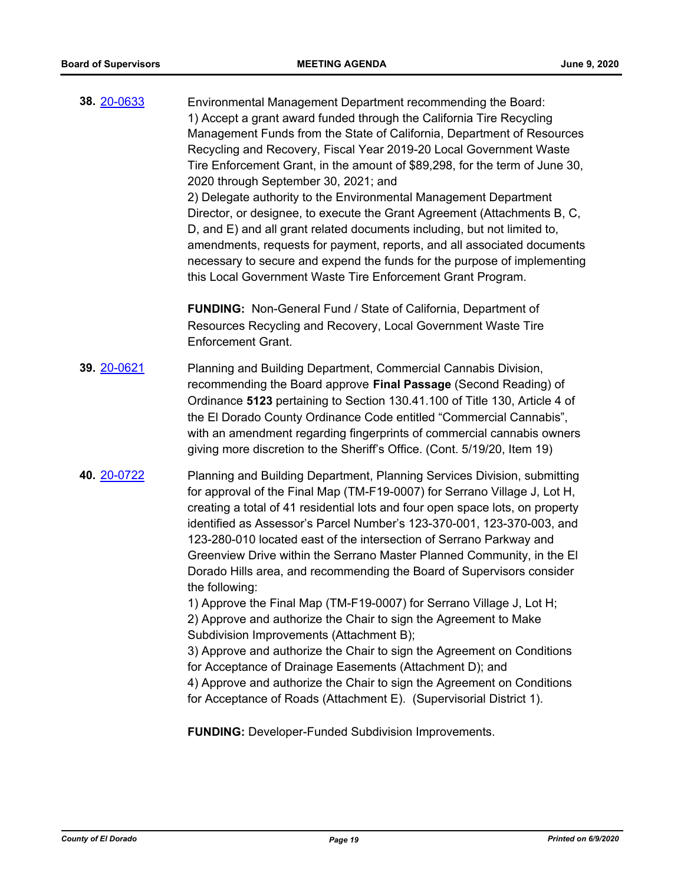| 38. 20-0633 | Environmental Management Department recommending the Board:<br>1) Accept a grant award funded through the California Tire Recycling<br>Management Funds from the State of California, Department of Resources<br>Recycling and Recovery, Fiscal Year 2019-20 Local Government Waste<br>Tire Enforcement Grant, in the amount of \$89,298, for the term of June 30,<br>2020 through September 30, 2021; and<br>2) Delegate authority to the Environmental Management Department<br>Director, or designee, to execute the Grant Agreement (Attachments B, C,<br>D, and E) and all grant related documents including, but not limited to,<br>amendments, requests for payment, reports, and all associated documents<br>necessary to secure and expend the funds for the purpose of implementing<br>this Local Government Waste Tire Enforcement Grant Program.                                                                                                                                                                                |
|-------------|---------------------------------------------------------------------------------------------------------------------------------------------------------------------------------------------------------------------------------------------------------------------------------------------------------------------------------------------------------------------------------------------------------------------------------------------------------------------------------------------------------------------------------------------------------------------------------------------------------------------------------------------------------------------------------------------------------------------------------------------------------------------------------------------------------------------------------------------------------------------------------------------------------------------------------------------------------------------------------------------------------------------------------------------|
|             | FUNDING: Non-General Fund / State of California, Department of<br>Resources Recycling and Recovery, Local Government Waste Tire<br><b>Enforcement Grant.</b>                                                                                                                                                                                                                                                                                                                                                                                                                                                                                                                                                                                                                                                                                                                                                                                                                                                                                |
| 39. 20-0621 | Planning and Building Department, Commercial Cannabis Division,<br>recommending the Board approve Final Passage (Second Reading) of<br>Ordinance 5123 pertaining to Section 130.41.100 of Title 130, Article 4 of<br>the El Dorado County Ordinance Code entitled "Commercial Cannabis",<br>with an amendment regarding fingerprints of commercial cannabis owners<br>giving more discretion to the Sheriff's Office. (Cont. 5/19/20, Item 19)                                                                                                                                                                                                                                                                                                                                                                                                                                                                                                                                                                                              |
| 40. 20-0722 | Planning and Building Department, Planning Services Division, submitting<br>for approval of the Final Map (TM-F19-0007) for Serrano Village J, Lot H,<br>creating a total of 41 residential lots and four open space lots, on property<br>identified as Assessor's Parcel Number's 123-370-001, 123-370-003, and<br>123-280-010 located east of the intersection of Serrano Parkway and<br>Greenview Drive within the Serrano Master Planned Community, in the El<br>Dorado Hills area, and recommending the Board of Supervisors consider<br>the following:<br>1) Approve the Final Map (TM-F19-0007) for Serrano Village J, Lot H;<br>2) Approve and authorize the Chair to sign the Agreement to Make<br>Subdivision Improvements (Attachment B);<br>3) Approve and authorize the Chair to sign the Agreement on Conditions<br>for Acceptance of Drainage Easements (Attachment D); and<br>4) Approve and authorize the Chair to sign the Agreement on Conditions<br>for Acceptance of Roads (Attachment E). (Supervisorial District 1). |

**FUNDING:** Developer-Funded Subdivision Improvements.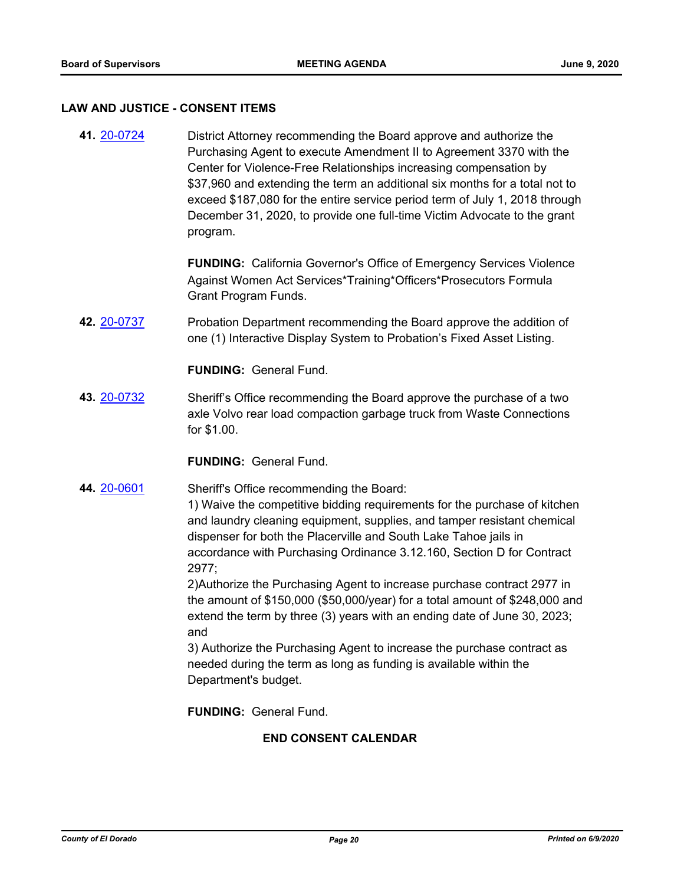#### **LAW AND JUSTICE - CONSENT ITEMS**

**41.** [20-0724](http://eldorado.legistar.com/gateway.aspx?m=l&id=/matter.aspx?key=27931) District Attorney recommending the Board approve and authorize the Purchasing Agent to execute Amendment II to Agreement 3370 with the Center for Violence-Free Relationships increasing compensation by \$37,960 and extending the term an additional six months for a total not to exceed \$187,080 for the entire service period term of July 1, 2018 through December 31, 2020, to provide one full-time Victim Advocate to the grant program.

> **FUNDING:** California Governor's Office of Emergency Services Violence Against Women Act Services\*Training\*Officers\*Prosecutors Formula Grant Program Funds.

**42.** [20-0737](http://eldorado.legistar.com/gateway.aspx?m=l&id=/matter.aspx?key=27944) Probation Department recommending the Board approve the addition of one (1) Interactive Display System to Probation's Fixed Asset Listing.

**FUNDING:** General Fund.

**43.** [20-0732](http://eldorado.legistar.com/gateway.aspx?m=l&id=/matter.aspx?key=27939) Sheriff's Office recommending the Board approve the purchase of a two axle Volvo rear load compaction garbage truck from Waste Connections for \$1.00.

**FUNDING:** General Fund.

**44.** [20-0601](http://eldorado.legistar.com/gateway.aspx?m=l&id=/matter.aspx?key=27807) Sheriff's Office recommending the Board:

1) Waive the competitive bidding requirements for the purchase of kitchen and laundry cleaning equipment, supplies, and tamper resistant chemical dispenser for both the Placerville and South Lake Tahoe jails in accordance with Purchasing Ordinance 3.12.160, Section D for Contract 2977;

2)Authorize the Purchasing Agent to increase purchase contract 2977 in the amount of \$150,000 (\$50,000/year) for a total amount of \$248,000 and extend the term by three (3) years with an ending date of June 30, 2023; and

3) Authorize the Purchasing Agent to increase the purchase contract as needed during the term as long as funding is available within the Department's budget.

**FUNDING:** General Fund.

# **END CONSENT CALENDAR**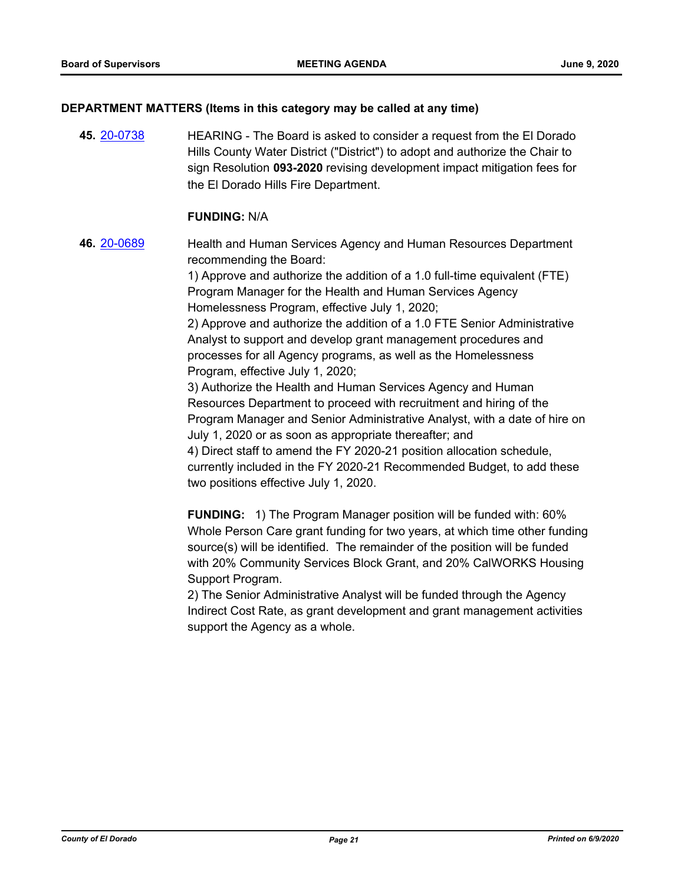# **DEPARTMENT MATTERS (Items in this category may be called at any time)**

**45.** [20-0738](http://eldorado.legistar.com/gateway.aspx?m=l&id=/matter.aspx?key=27945) HEARING - The Board is asked to consider a request from the El Dorado Hills County Water District ("District") to adopt and authorize the Chair to sign Resolution **093-2020** revising development impact mitigation fees for the El Dorado Hills Fire Department.

### **FUNDING:** N/A

**46.** [20-0689](http://eldorado.legistar.com/gateway.aspx?m=l&id=/matter.aspx?key=27895) Health and Human Services Agency and Human Resources Department recommending the Board:

> 1) Approve and authorize the addition of a 1.0 full-time equivalent (FTE) Program Manager for the Health and Human Services Agency Homelessness Program, effective July 1, 2020;

2) Approve and authorize the addition of a 1.0 FTE Senior Administrative Analyst to support and develop grant management procedures and processes for all Agency programs, as well as the Homelessness Program, effective July 1, 2020;

3) Authorize the Health and Human Services Agency and Human Resources Department to proceed with recruitment and hiring of the Program Manager and Senior Administrative Analyst, with a date of hire on July 1, 2020 or as soon as appropriate thereafter; and

4) Direct staff to amend the FY 2020-21 position allocation schedule, currently included in the FY 2020-21 Recommended Budget, to add these two positions effective July 1, 2020.

**FUNDING:** 1) The Program Manager position will be funded with: 60% Whole Person Care grant funding for two years, at which time other funding source(s) will be identified. The remainder of the position will be funded with 20% Community Services Block Grant, and 20% CalWORKS Housing Support Program.

2) The Senior Administrative Analyst will be funded through the Agency Indirect Cost Rate, as grant development and grant management activities support the Agency as a whole.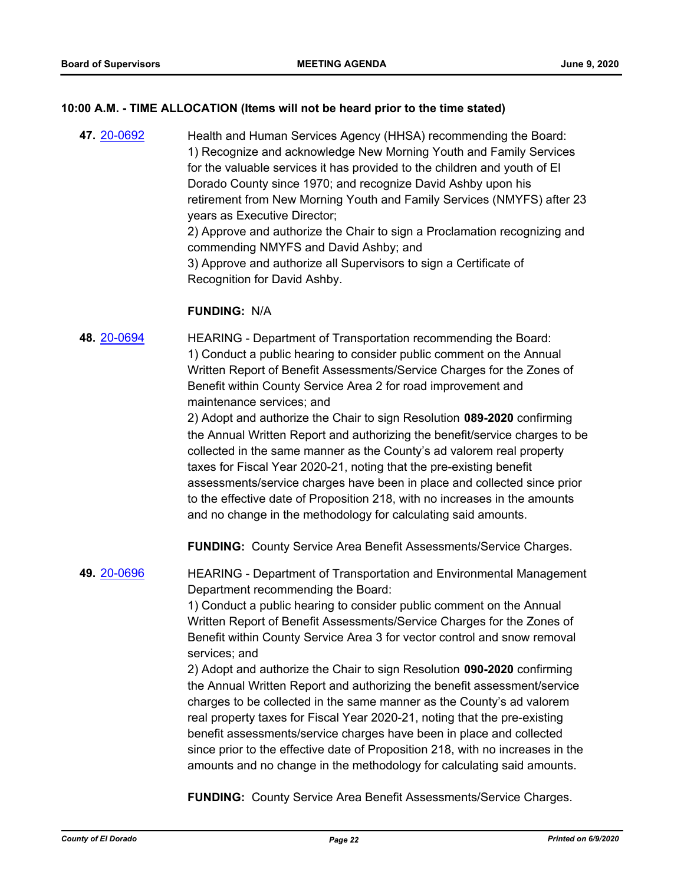# **10:00 A.M. - TIME ALLOCATION (Items will not be heard prior to the time stated)**

**47.** [20-0692](http://eldorado.legistar.com/gateway.aspx?m=l&id=/matter.aspx?key=27898) Health and Human Services Agency (HHSA) recommending the Board: 1) Recognize and acknowledge New Morning Youth and Family Services for the valuable services it has provided to the children and youth of El Dorado County since 1970; and recognize David Ashby upon his retirement from New Morning Youth and Family Services (NMYFS) after 23 years as Executive Director; 2) Approve and authorize the Chair to sign a Proclamation recognizing and commending NMYFS and David Ashby; and 3) Approve and authorize all Supervisors to sign a Certificate of Recognition for David Ashby.

#### **FUNDING:** N/A

**48.** [20-0694](http://eldorado.legistar.com/gateway.aspx?m=l&id=/matter.aspx?key=27900) HEARING - Department of Transportation recommending the Board: 1) Conduct a public hearing to consider public comment on the Annual Written Report of Benefit Assessments/Service Charges for the Zones of Benefit within County Service Area 2 for road improvement and maintenance services; and

> 2) Adopt and authorize the Chair to sign Resolution **089-2020** confirming the Annual Written Report and authorizing the benefit/service charges to be collected in the same manner as the County's ad valorem real property taxes for Fiscal Year 2020-21, noting that the pre-existing benefit assessments/service charges have been in place and collected since prior to the effective date of Proposition 218, with no increases in the amounts and no change in the methodology for calculating said amounts.

**FUNDING:** County Service Area Benefit Assessments/Service Charges.

**49.** [20-0696](http://eldorado.legistar.com/gateway.aspx?m=l&id=/matter.aspx?key=27902) HEARING - Department of Transportation and Environmental Management Department recommending the Board:

> 1) Conduct a public hearing to consider public comment on the Annual Written Report of Benefit Assessments/Service Charges for the Zones of Benefit within County Service Area 3 for vector control and snow removal services; and

2) Adopt and authorize the Chair to sign Resolution **090-2020** confirming the Annual Written Report and authorizing the benefit assessment/service charges to be collected in the same manner as the County's ad valorem real property taxes for Fiscal Year 2020-21, noting that the pre-existing benefit assessments/service charges have been in place and collected since prior to the effective date of Proposition 218, with no increases in the amounts and no change in the methodology for calculating said amounts.

**FUNDING:** County Service Area Benefit Assessments/Service Charges.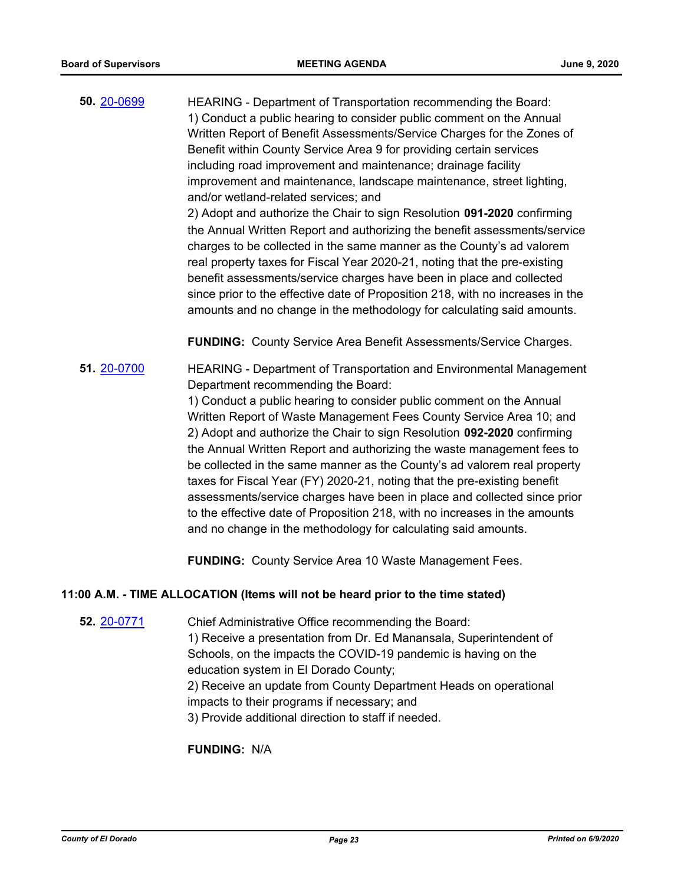**50.** [20-0699](http://eldorado.legistar.com/gateway.aspx?m=l&id=/matter.aspx?key=27905) HEARING - Department of Transportation recommending the Board: 1) Conduct a public hearing to consider public comment on the Annual Written Report of Benefit Assessments/Service Charges for the Zones of Benefit within County Service Area 9 for providing certain services including road improvement and maintenance; drainage facility improvement and maintenance, landscape maintenance, street lighting, and/or wetland-related services; and 2) Adopt and authorize the Chair to sign Resolution **091-2020** confirming the Annual Written Report and authorizing the benefit assessments/service charges to be collected in the same manner as the County's ad valorem

real property taxes for Fiscal Year 2020-21, noting that the pre-existing benefit assessments/service charges have been in place and collected since prior to the effective date of Proposition 218, with no increases in the amounts and no change in the methodology for calculating said amounts.

**FUNDING:** County Service Area Benefit Assessments/Service Charges.

# **51.** [20-0700](http://eldorado.legistar.com/gateway.aspx?m=l&id=/matter.aspx?key=27906) HEARING - Department of Transportation and Environmental Management Department recommending the Board:

1) Conduct a public hearing to consider public comment on the Annual Written Report of Waste Management Fees County Service Area 10; and 2) Adopt and authorize the Chair to sign Resolution **092-2020** confirming the Annual Written Report and authorizing the waste management fees to be collected in the same manner as the County's ad valorem real property taxes for Fiscal Year (FY) 2020-21, noting that the pre-existing benefit assessments/service charges have been in place and collected since prior to the effective date of Proposition 218, with no increases in the amounts and no change in the methodology for calculating said amounts.

**FUNDING:** County Service Area 10 Waste Management Fees.

# **11:00 A.M. - TIME ALLOCATION (Items will not be heard prior to the time stated)**

**52.** [20-0771](http://eldorado.legistar.com/gateway.aspx?m=l&id=/matter.aspx?key=27978) Chief Administrative Office recommending the Board: 1) Receive a presentation from Dr. Ed Manansala, Superintendent of Schools, on the impacts the COVID-19 pandemic is having on the education system in El Dorado County; 2) Receive an update from County Department Heads on operational impacts to their programs if necessary; and 3) Provide additional direction to staff if needed.

**FUNDING:** N/A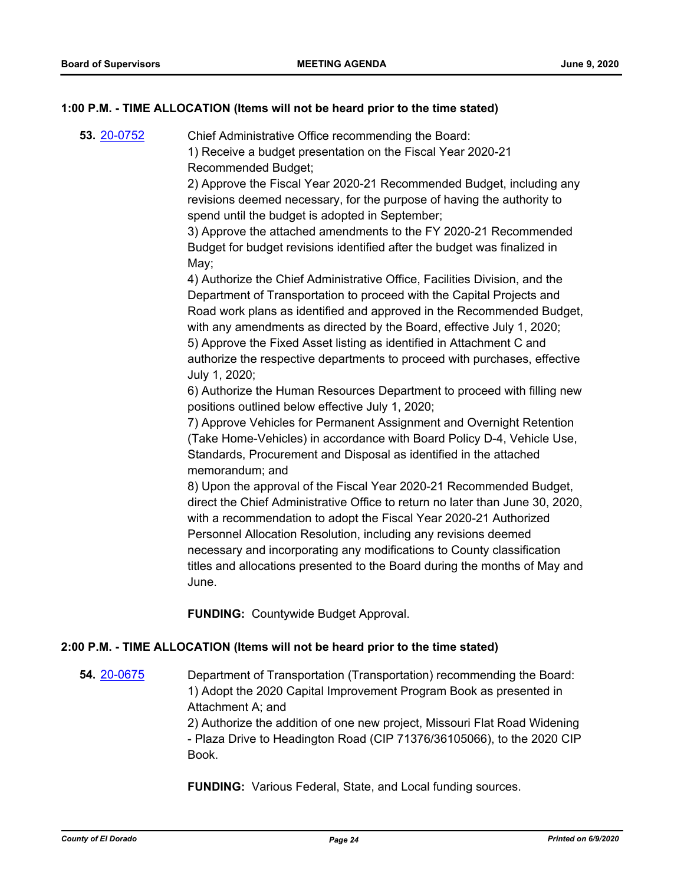# **1:00 P.M. - TIME ALLOCATION (Items will not be heard prior to the time stated)**

**53.** [20-0752](http://eldorado.legistar.com/gateway.aspx?m=l&id=/matter.aspx?key=27959) Chief Administrative Office recommending the Board: 1) Receive a budget presentation on the Fiscal Year 2020-21 Recommended Budget;

> 2) Approve the Fiscal Year 2020-21 Recommended Budget, including any revisions deemed necessary, for the purpose of having the authority to spend until the budget is adopted in September;

3) Approve the attached amendments to the FY 2020-21 Recommended Budget for budget revisions identified after the budget was finalized in May;

4) Authorize the Chief Administrative Office, Facilities Division, and the Department of Transportation to proceed with the Capital Projects and Road work plans as identified and approved in the Recommended Budget, with any amendments as directed by the Board, effective July 1, 2020; 5) Approve the Fixed Asset listing as identified in Attachment C and authorize the respective departments to proceed with purchases, effective July 1, 2020;

6) Authorize the Human Resources Department to proceed with filling new positions outlined below effective July 1, 2020;

7) Approve Vehicles for Permanent Assignment and Overnight Retention (Take Home-Vehicles) in accordance with Board Policy D-4, Vehicle Use, Standards, Procurement and Disposal as identified in the attached memorandum; and

8) Upon the approval of the Fiscal Year 2020-21 Recommended Budget, direct the Chief Administrative Office to return no later than June 30, 2020, with a recommendation to adopt the Fiscal Year 2020-21 Authorized Personnel Allocation Resolution, including any revisions deemed necessary and incorporating any modifications to County classification titles and allocations presented to the Board during the months of May and June.

**FUNDING:** Countywide Budget Approval.

#### **2:00 P.M. - TIME ALLOCATION (Items will not be heard prior to the time stated)**

**54.** [20-0675](http://eldorado.legistar.com/gateway.aspx?m=l&id=/matter.aspx?key=27881) Department of Transportation (Transportation) recommending the Board: 1) Adopt the 2020 Capital Improvement Program Book as presented in Attachment A; and

> 2) Authorize the addition of one new project, Missouri Flat Road Widening - Plaza Drive to Headington Road (CIP 71376/36105066), to the 2020 CIP Book.

**FUNDING:** Various Federal, State, and Local funding sources.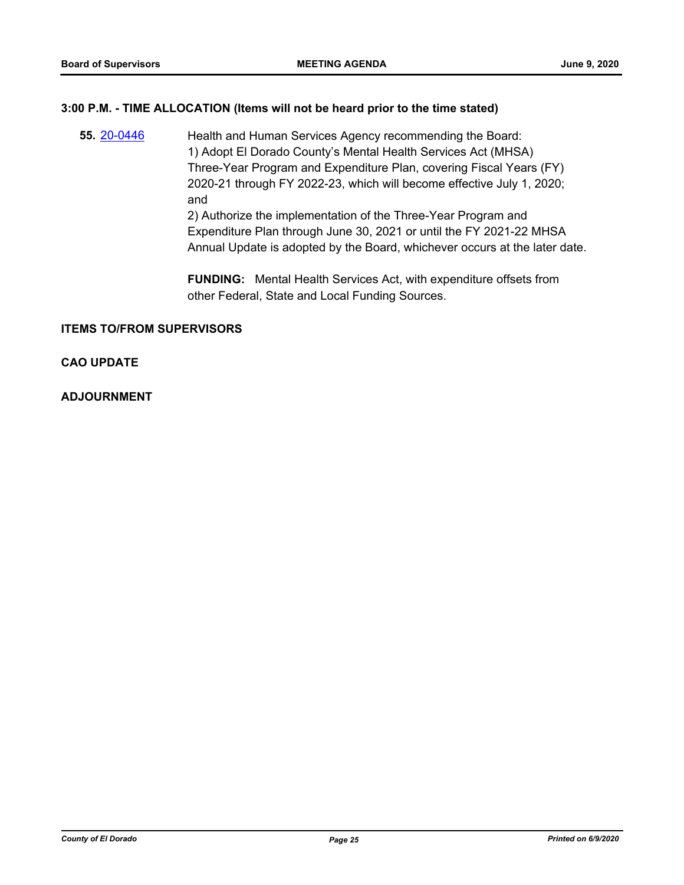### **3:00 P.M. - TIME ALLOCATION (Items will not be heard prior to the time stated)**

**55.** [20-0446](http://eldorado.legistar.com/gateway.aspx?m=l&id=/matter.aspx?key=27652) **Health and Human Services Agency recommending the Board:** 1) Adopt El Dorado County's Mental Health Services Act (MHSA) Three-Year Program and Expenditure Plan, covering Fiscal Years (FY) 2020-21 through FY 2022-23, which will become effective July 1, 2020; and 2) Authorize the implementation of the Three-Year Program and Expenditure Plan through June 30, 2021 or until the FY 2021-22 MHSA Annual Update is adopted by the Board, whichever occurs at the later date.

> **FUNDING:** Mental Health Services Act, with expenditure offsets from other Federal, State and Local Funding Sources.

# **ITEMS TO/FROM SUPERVISORS**

# **CAO UPDATE**

**ADJOURNMENT**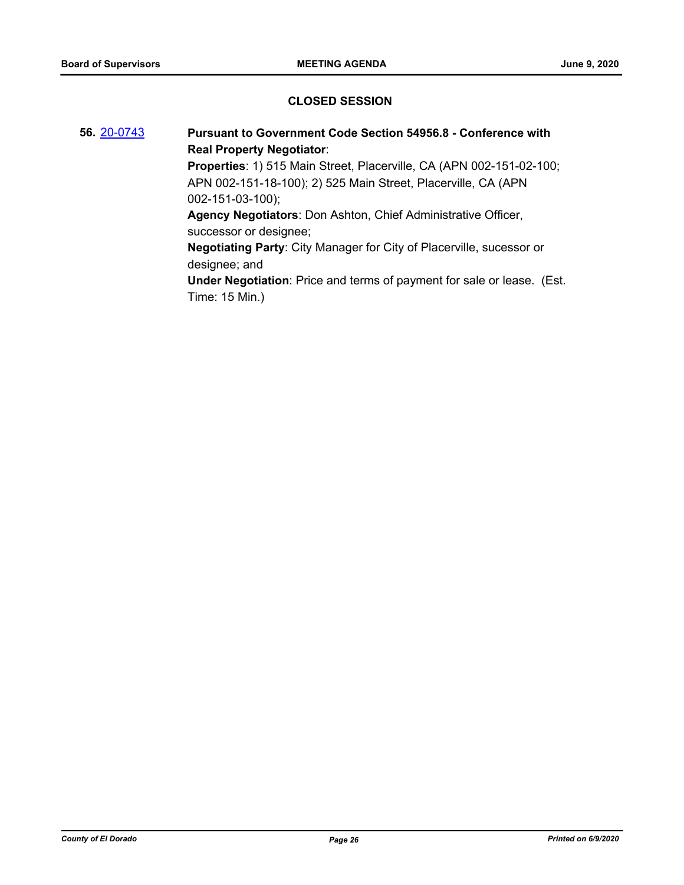# **CLOSED SESSION**

**56.** [20-0743](http://eldorado.legistar.com/gateway.aspx?m=l&id=/matter.aspx?key=27950) **Pursuant to Government Code Section 54956.8 - Conference with Real Property Negotiator**: **Properties**: 1) 515 Main Street, Placerville, CA (APN 002-151-02-100; APN 002-151-18-100); 2) 525 Main Street, Placerville, CA (APN 002-151-03-100); **Agency Negotiators**: Don Ashton, Chief Administrative Officer, successor or designee; **Negotiating Party**: City Manager for City of Placerville, sucessor or designee; and **Under Negotiation**: Price and terms of payment for sale or lease. (Est. Time: 15 Min.)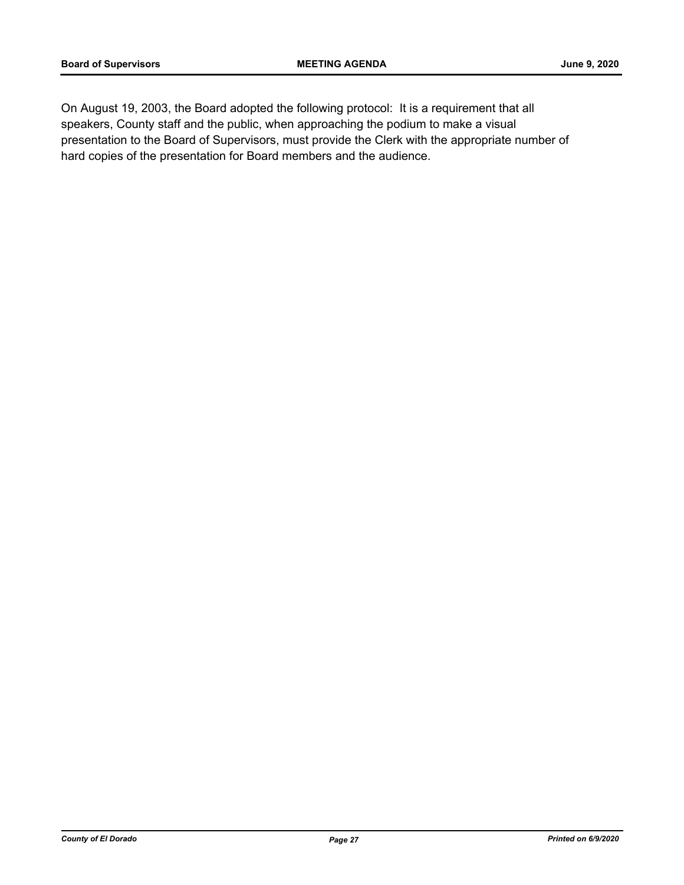On August 19, 2003, the Board adopted the following protocol: It is a requirement that all speakers, County staff and the public, when approaching the podium to make a visual presentation to the Board of Supervisors, must provide the Clerk with the appropriate number of hard copies of the presentation for Board members and the audience.